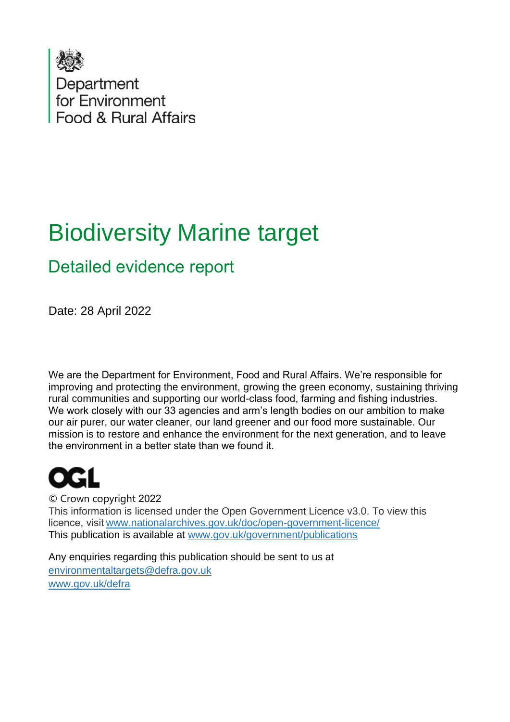

# Biodiversity Marine target

## Detailed evidence report

Date: 28 April 2022

We are the Department for Environment, Food and Rural Affairs. We're responsible for improving and protecting the environment, growing the green economy, sustaining thriving rural communities and supporting our world-class food, farming and fishing industries.   We work closely with our 33 agencies and arm's length bodies on our ambition to make our air purer, our water cleaner, our land greener and our food more sustainable. Our mission is to restore and enhance the environment for the next generation, and to leave the environment in a better state than we found it. 

© Crown copyright 2022  This information is licensed under the Open Government Licence v3.0. To view this licence, visit[www.nationalarchives.gov.uk/doc/open-government-licence/](http://www.nationalarchives.gov.uk/doc/open-government-licence/) This publication is available at [www.gov.uk/government/publications](http://www.gov.uk/government/publications) 

Any enquiries regarding this publication should be sent to us at [environmentaltargets@defra.gov.uk](mailto:environmentaltargets@defra.gov.uk) [www.gov.uk/defra](http://www.gov.uk/defra)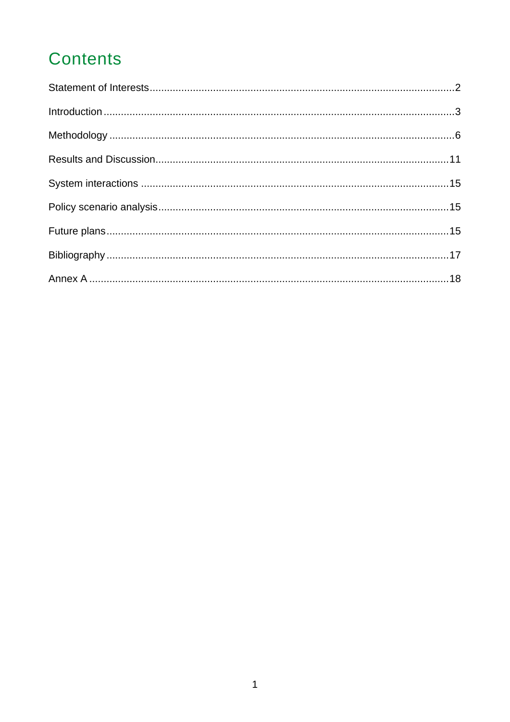# **Contents**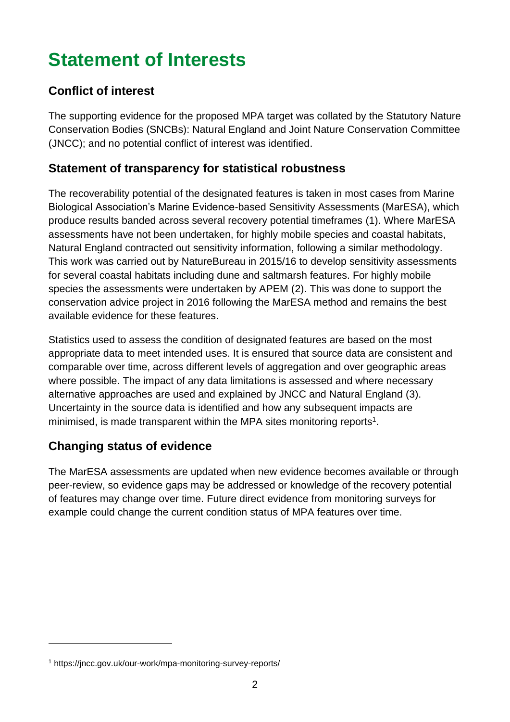# <span id="page-2-0"></span>**Statement of Interests**

#### **Conflict of interest**

The supporting evidence for the proposed MPA target was collated by the Statutory Nature Conservation Bodies (SNCBs): Natural England and Joint Nature Conservation Committee (JNCC); and no potential conflict of interest was identified.

#### **Statement of transparency for statistical robustness**

The recoverability potential of the designated features is taken in most cases from Marine Biological Association's Marine Evidence-based Sensitivity Assessments (MarESA), which produce results banded across several recovery potential timeframes (1). Where MarESA assessments have not been undertaken, for highly mobile species and coastal habitats, Natural England contracted out sensitivity information, following a similar methodology. This work was carried out by NatureBureau in 2015/16 to develop sensitivity assessments for several coastal habitats including dune and saltmarsh features. For highly mobile species the assessments were undertaken by APEM (2). This was done to support the conservation advice project in 2016 following the MarESA method and remains the best available evidence for these features.

Statistics used to assess the condition of designated features are based on the most appropriate data to meet intended uses. It is ensured that source data are consistent and comparable over time, across different levels of aggregation and over geographic areas where possible. The impact of any data limitations is assessed and where necessary alternative approaches are used and explained by JNCC and Natural England (3). Uncertainty in the source data is identified and how any subsequent impacts are minimised, is made transparent within the MPA sites monitoring reports<sup>1</sup>.

#### **Changing status of evidence**

The MarESA assessments are updated when new evidence becomes available or through peer-review, so evidence gaps may be addressed or knowledge of the recovery potential of features may change over time. Future direct evidence from monitoring surveys for example could change the current condition status of MPA features over time.

<sup>1</sup> https://jncc.gov.uk/our-work/mpa-monitoring-survey-reports/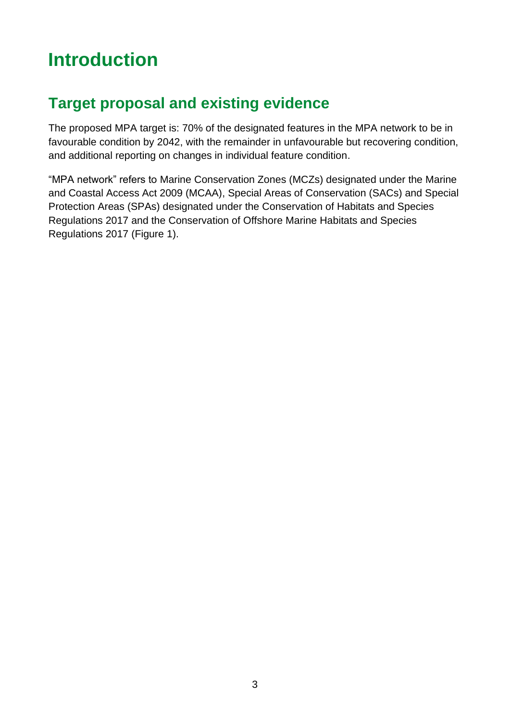# <span id="page-3-0"></span>**Introduction**

## **Target proposal and existing evidence**

The proposed MPA target is: 70% of the designated features in the MPA network to be in favourable condition by 2042, with the remainder in unfavourable but recovering condition, and additional reporting on changes in individual feature condition.

"MPA network" refers to Marine Conservation Zones (MCZs) designated under the Marine and Coastal Access Act 2009 (MCAA), Special Areas of Conservation (SACs) and Special Protection Areas (SPAs) designated under the Conservation of Habitats and Species Regulations 2017 and the Conservation of Offshore Marine Habitats and Species Regulations 2017 (Figure 1).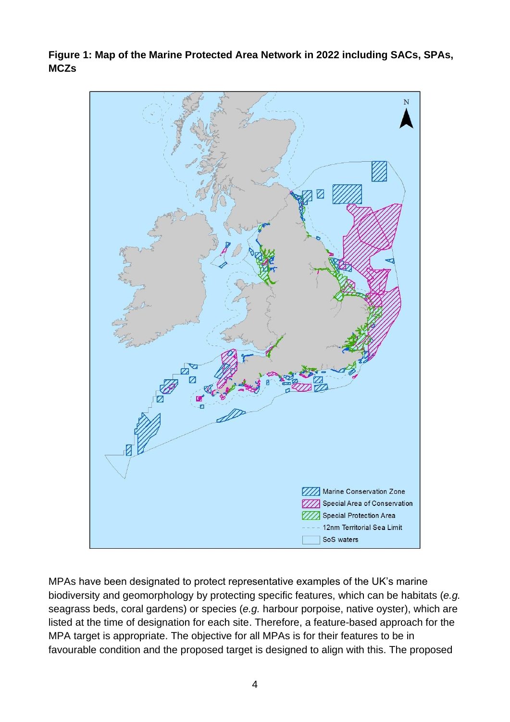**Figure 1: Map of the Marine Protected Area Network in 2022 including SACs, SPAs, MCZs**



MPAs have been designated to protect representative examples of the UK's marine biodiversity and geomorphology by protecting specific features, which can be habitats (*e.g.* seagrass beds, coral gardens) or species (*e.g.* harbour porpoise, native oyster), which are listed at the time of designation for each site. Therefore, a feature-based approach for the MPA target is appropriate. The objective for all MPAs is for their features to be in favourable condition and the proposed target is designed to align with this. The proposed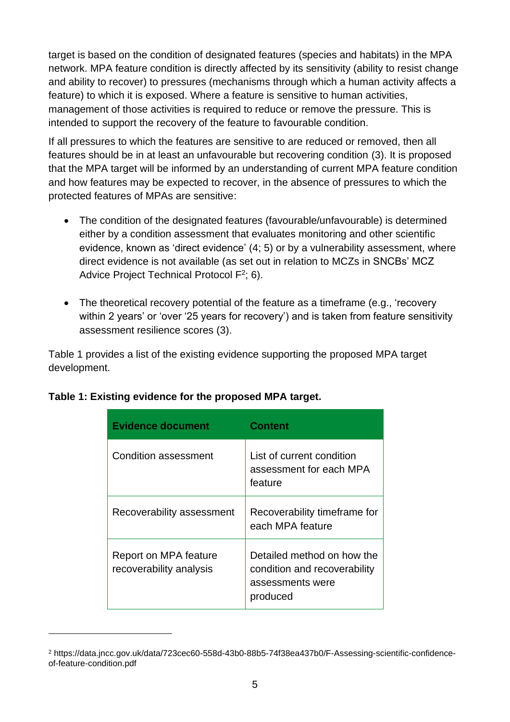target is based on the condition of designated features (species and habitats) in the MPA network. MPA feature condition is directly affected by its sensitivity (ability to resist change and ability to recover) to pressures (mechanisms through which a human activity affects a feature) to which it is exposed. Where a feature is sensitive to human activities, management of those activities is required to reduce or remove the pressure. This is intended to support the recovery of the feature to favourable condition.

If all pressures to which the features are sensitive to are reduced or removed, then all features should be in at least an unfavourable but recovering condition (3). It is proposed that the MPA target will be informed by an understanding of current MPA feature condition and how features may be expected to recover, in the absence of pressures to which the protected features of MPAs are sensitive:

- The condition of the designated features (favourable/unfavourable) is determined either by a condition assessment that evaluates monitoring and other scientific evidence, known as 'direct evidence' (4; 5) or by a vulnerability assessment, where direct evidence is not available (as set out in relation to MCZs in SNCBs' MCZ Advice Project Technical Protocol  $F^2$ ; 6).
- The theoretical recovery potential of the feature as a timeframe (e.g., 'recovery within 2 years' or 'over '25 years for recovery') and is taken from feature sensitivity assessment resilience scores (3).

Table 1 provides a list of the existing evidence supporting the proposed MPA target development.

| <b>Evidence document</b>                         | <b>Content</b>                                                                             |
|--------------------------------------------------|--------------------------------------------------------------------------------------------|
| Condition assessment                             | List of current condition<br>assessment for each MPA<br>feature                            |
| Recoverability assessment                        | Recoverability timeframe for<br>each MPA feature                                           |
| Report on MPA feature<br>recoverability analysis | Detailed method on how the<br>condition and recoverability<br>assessments were<br>produced |

#### **Table 1: Existing evidence for the proposed MPA target.**

<sup>2</sup> https://data.jncc.gov.uk/data/723cec60-558d-43b0-88b5-74f38ea437b0/F-Assessing-scientific-confidenceof-feature-condition.pdf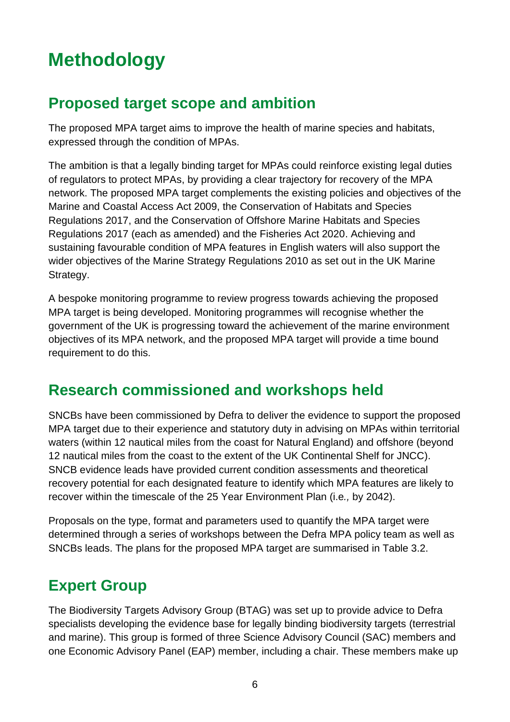# <span id="page-6-0"></span>**Methodology**

#### **Proposed target scope and ambition**

The proposed MPA target aims to improve the health of marine species and habitats, expressed through the condition of MPAs.

The ambition is that a legally binding target for MPAs could reinforce existing legal duties of regulators to protect MPAs, by providing a clear trajectory for recovery of the MPA network. The proposed MPA target complements the existing policies and objectives of the Marine and Coastal Access Act 2009, the Conservation of Habitats and Species Regulations 2017, and the Conservation of Offshore Marine Habitats and Species Regulations 2017 (each as amended) and the Fisheries Act 2020. Achieving and sustaining favourable condition of MPA features in English waters will also support the wider objectives of the Marine Strategy Regulations 2010 as set out in the UK Marine Strategy.

A bespoke monitoring programme to review progress towards achieving the proposed MPA target is being developed. Monitoring programmes will recognise whether the government of the UK is progressing toward the achievement of the marine environment objectives of its MPA network, and the proposed MPA target will provide a time bound requirement to do this.

### **Research commissioned and workshops held**

SNCBs have been commissioned by Defra to deliver the evidence to support the proposed MPA target due to their experience and statutory duty in advising on MPAs within territorial waters (within 12 nautical miles from the coast for Natural England) and offshore (beyond 12 nautical miles from the coast to the extent of the UK Continental Shelf for JNCC). SNCB evidence leads have provided current condition assessments and theoretical recovery potential for each designated feature to identify which MPA features are likely to recover within the timescale of the 25 Year Environment Plan (i.e*.,* by 2042).

Proposals on the type, format and parameters used to quantify the MPA target were determined through a series of workshops between the Defra MPA policy team as well as SNCBs leads. The plans for the proposed MPA target are summarised in Table 3.2.

## **Expert Group**

The Biodiversity Targets Advisory Group (BTAG) was set up to provide advice to Defra specialists developing the evidence base for legally binding biodiversity targets (terrestrial and marine). This group is formed of three Science Advisory Council (SAC) members and one Economic Advisory Panel (EAP) member, including a chair. These members make up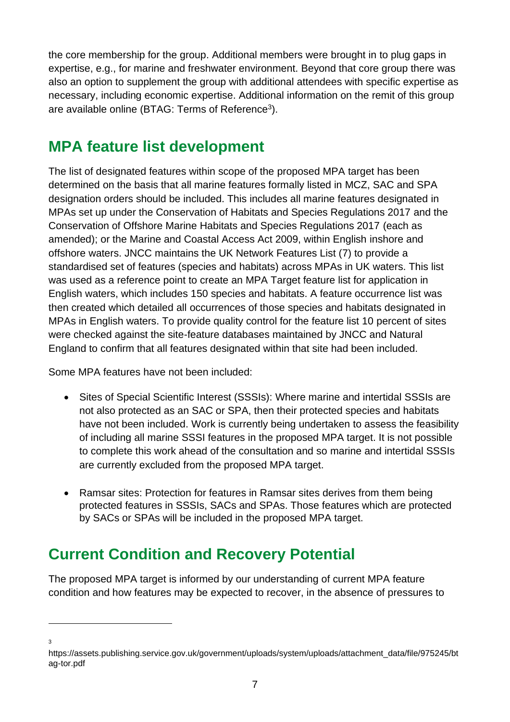the core membership for the group. Additional members were brought in to plug gaps in expertise, e.g., for marine and freshwater environment. Beyond that core group there was also an option to supplement the group with additional attendees with specific expertise as necessary, including economic expertise. Additional information on the remit of this group are available online (BTAG: Terms of Reference<sup>3</sup>).

#### **MPA feature list development**

The list of designated features within scope of the proposed MPA target has been determined on the basis that all marine features formally listed in MCZ, SAC and SPA designation orders should be included. This includes all marine features designated in MPAs set up under the Conservation of Habitats and Species Regulations 2017 and the Conservation of Offshore Marine Habitats and Species Regulations 2017 (each as amended); or the Marine and Coastal Access Act 2009, within English inshore and offshore waters. JNCC maintains the UK Network Features List (7) to provide a standardised set of features (species and habitats) across MPAs in UK waters. This list was used as a reference point to create an MPA Target feature list for application in English waters, which includes 150 species and habitats. A feature occurrence list was then created which detailed all occurrences of those species and habitats designated in MPAs in English waters. To provide quality control for the feature list 10 percent of sites were checked against the site-feature databases maintained by JNCC and Natural England to confirm that all features designated within that site had been included.

Some MPA features have not been included:

- Sites of Special Scientific Interest (SSSIs): Where marine and intertidal SSSIs are not also protected as an SAC or SPA, then their protected species and habitats have not been included. Work is currently being undertaken to assess the feasibility of including all marine SSSI features in the proposed MPA target. It is not possible to complete this work ahead of the consultation and so marine and intertidal SSSIs are currently excluded from the proposed MPA target.
- Ramsar sites: Protection for features in Ramsar sites derives from them being protected features in SSSIs, SACs and SPAs. Those features which are protected by SACs or SPAs will be included in the proposed MPA target.

## **Current Condition and Recovery Potential**

The proposed MPA target is informed by our understanding of current MPA feature condition and how features may be expected to recover, in the absence of pressures to

3

https://assets.publishing.service.gov.uk/government/uploads/system/uploads/attachment\_data/file/975245/bt ag-tor.pdf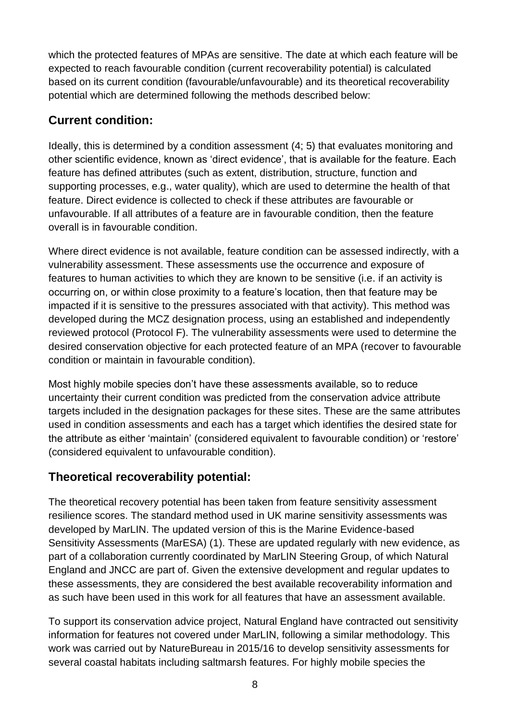which the protected features of MPAs are sensitive. The date at which each feature will be expected to reach favourable condition (current recoverability potential) is calculated based on its current condition (favourable/unfavourable) and its theoretical recoverability potential which are determined following the methods described below:

#### **Current condition:**

Ideally, this is determined by a condition assessment (4; 5) that evaluates monitoring and other scientific evidence, known as 'direct evidence', that is available for the feature. Each feature has defined attributes (such as extent, distribution, structure, function and supporting processes, e.g., water quality), which are used to determine the health of that feature. Direct evidence is collected to check if these attributes are favourable or unfavourable. If all attributes of a feature are in favourable condition, then the feature overall is in favourable condition.

Where direct evidence is not available, feature condition can be assessed indirectly, with a vulnerability assessment. These assessments use the occurrence and exposure of features to human activities to which they are known to be sensitive (i.e. if an activity is occurring on, or within close proximity to a feature's location, then that feature may be impacted if it is sensitive to the pressures associated with that activity). This method was developed during the MCZ designation process, using an established and independently reviewed protocol (Protocol F). The vulnerability assessments were used to determine the desired conservation objective for each protected feature of an MPA (recover to favourable condition or maintain in favourable condition).

Most highly mobile species don't have these assessments available, so to reduce uncertainty their current condition was predicted from the conservation advice attribute targets included in the designation packages for these sites. These are the same attributes used in condition assessments and each has a target which identifies the desired state for the attribute as either 'maintain' (considered equivalent to favourable condition) or 'restore' (considered equivalent to unfavourable condition).

#### **Theoretical recoverability potential:**

The theoretical recovery potential has been taken from feature sensitivity assessment resilience scores. The standard method used in UK marine sensitivity assessments was developed by MarLIN. The updated version of this is the Marine Evidence-based Sensitivity Assessments (MarESA) (1). These are updated regularly with new evidence, as part of a collaboration currently coordinated by MarLIN Steering Group, of which Natural England and JNCC are part of. Given the extensive development and regular updates to these assessments, they are considered the best available recoverability information and as such have been used in this work for all features that have an assessment available.

To support its conservation advice project, Natural England have contracted out sensitivity information for features not covered under MarLIN, following a similar methodology. This work was carried out by NatureBureau in 2015/16 to develop sensitivity assessments for several coastal habitats including saltmarsh features. For highly mobile species the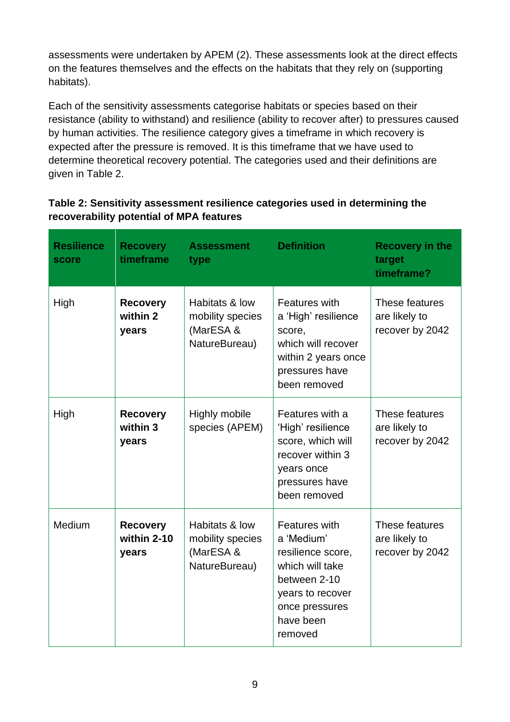assessments were undertaken by APEM (2). These assessments look at the direct effects on the features themselves and the effects on the habitats that they rely on (supporting habitats).

Each of the sensitivity assessments categorise habitats or species based on their resistance (ability to withstand) and resilience (ability to recover after) to pressures caused by human activities. The resilience category gives a timeframe in which recovery is expected after the pressure is removed. It is this timeframe that we have used to determine theoretical recovery potential. The categories used and their definitions are given in Table 2.

#### **Table 2: Sensitivity assessment resilience categories used in determining the recoverability potential of MPA features**

| <b>Resilience</b><br>score | <b>Recovery</b><br>timeframe            | <b>Assessment</b><br>type                                        | <b>Definition</b>                                                                                                                                 | <b>Recovery in the</b><br>target<br>timeframe?     |
|----------------------------|-----------------------------------------|------------------------------------------------------------------|---------------------------------------------------------------------------------------------------------------------------------------------------|----------------------------------------------------|
| High                       | <b>Recovery</b><br>within 2<br>years    | Habitats & low<br>mobility species<br>(MarESA &<br>NatureBureau) | Features with<br>a 'High' resilience<br>score,<br>which will recover<br>within 2 years once<br>pressures have<br>been removed                     | These features<br>are likely to<br>recover by 2042 |
| High                       | <b>Recovery</b><br>within 3<br>years    | Highly mobile<br>species (APEM)                                  | Features with a<br>'High' resilience<br>score, which will<br>recover within 3<br>years once<br>pressures have<br>been removed                     | These features<br>are likely to<br>recover by 2042 |
| Medium                     | <b>Recovery</b><br>within 2-10<br>years | Habitats & low<br>mobility species<br>(MarESA &<br>NatureBureau) | Features with<br>a 'Medium'<br>resilience score,<br>which will take<br>between 2-10<br>years to recover<br>once pressures<br>have been<br>removed | These features<br>are likely to<br>recover by 2042 |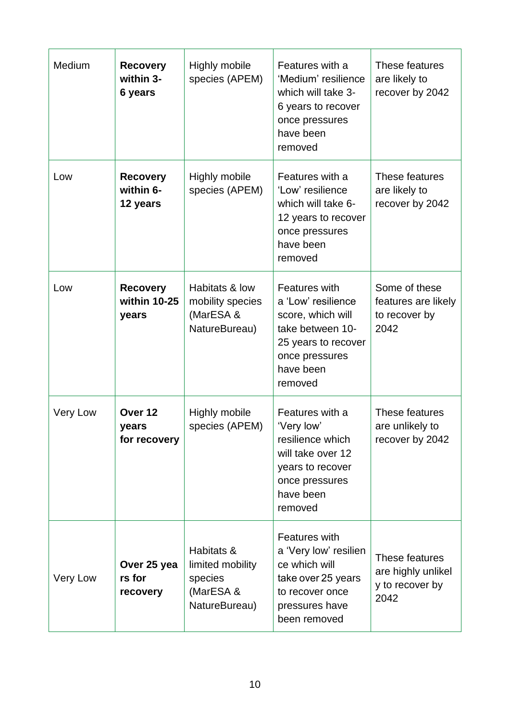| Medium   | <b>Recovery</b><br>within 3-<br>6 years     | Highly mobile<br>species (APEM)                                         | Features with a<br>'Medium' resilience<br>which will take 3-<br>6 years to recover<br>once pressures<br>have been<br>removed                  | These features<br>are likely to<br>recover by 2042              |
|----------|---------------------------------------------|-------------------------------------------------------------------------|-----------------------------------------------------------------------------------------------------------------------------------------------|-----------------------------------------------------------------|
| Low      | <b>Recovery</b><br>within 6-<br>12 years    | Highly mobile<br>species (APEM)                                         | Features with a<br>'Low' resilience<br>which will take 6-<br>12 years to recover<br>once pressures<br>have been<br>removed                    | These features<br>are likely to<br>recover by 2042              |
| Low      | <b>Recovery</b><br>within 10-25<br>years    | Habitats & low<br>mobility species<br>(MarESA &<br>NatureBureau)        | Features with<br>a 'Low' resilience<br>score, which will<br>take between 10-<br>25 years to recover<br>once pressures<br>have been<br>removed | Some of these<br>features are likely<br>to recover by<br>2042   |
| Very Low | Over <sub>12</sub><br>years<br>for recovery | Highly mobile<br>species (APEM)                                         | Features with a<br>'Very low'<br>resilience which<br>will take over 12<br>years to recover<br>once pressures<br>have been<br>removed          | These features<br>are unlikely to<br>recover by 2042            |
| Very Low | Over 25 yea<br>rs for<br>recovery           | Habitats &<br>limited mobility<br>species<br>(MarESA &<br>NatureBureau) | Features with<br>a 'Very low' resilien<br>ce which will<br>take over 25 years<br>to recover once<br>pressures have<br>been removed            | These features<br>are highly unlikel<br>y to recover by<br>2042 |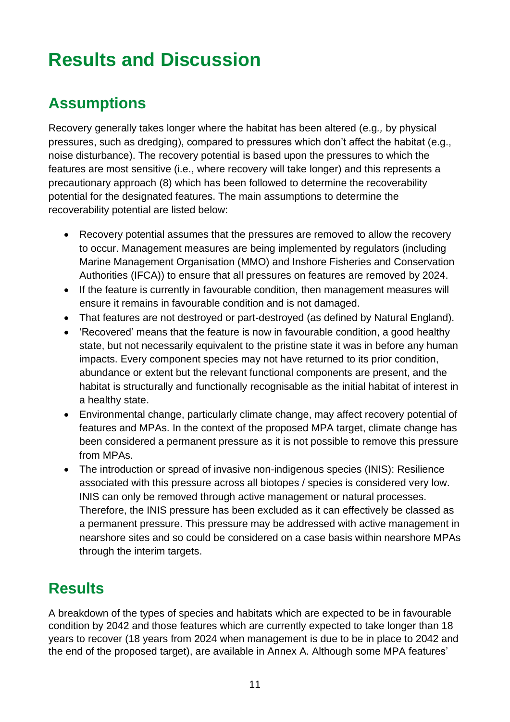# <span id="page-11-0"></span>**Results and Discussion**

## **Assumptions**

Recovery generally takes longer where the habitat has been altered (e.g*.,* by physical pressures, such as dredging), compared to pressures which don't affect the habitat (e.g., noise disturbance). The recovery potential is based upon the pressures to which the features are most sensitive (i.e., where recovery will take longer) and this represents a precautionary approach (8) which has been followed to determine the recoverability potential for the designated features. The main assumptions to determine the recoverability potential are listed below:

- Recovery potential assumes that the pressures are removed to allow the recovery to occur. Management measures are being implemented by regulators (including Marine Management Organisation (MMO) and Inshore Fisheries and Conservation Authorities (IFCA)) to ensure that all pressures on features are removed by 2024.
- If the feature is currently in favourable condition, then management measures will ensure it remains in favourable condition and is not damaged.
- That features are not destroyed or part-destroyed (as defined by Natural England).
- 'Recovered' means that the feature is now in favourable condition, a good healthy state, but not necessarily equivalent to the pristine state it was in before any human impacts. Every component species may not have returned to its prior condition, abundance or extent but the relevant functional components are present, and the habitat is structurally and functionally recognisable as the initial habitat of interest in a healthy state.
- Environmental change, particularly climate change, may affect recovery potential of features and MPAs. In the context of the proposed MPA target, climate change has been considered a permanent pressure as it is not possible to remove this pressure from MPAs.
- The introduction or spread of invasive non-indigenous species (INIS): Resilience associated with this pressure across all biotopes / species is considered very low. INIS can only be removed through active management or natural processes. Therefore, the INIS pressure has been excluded as it can effectively be classed as a permanent pressure. This pressure may be addressed with active management in nearshore sites and so could be considered on a case basis within nearshore MPAs through the interim targets.

## **Results**

A breakdown of the types of species and habitats which are expected to be in favourable condition by 2042 and those features which are currently expected to take longer than 18 years to recover (18 years from 2024 when management is due to be in place to 2042 and the end of the proposed target), are available in Annex A. Although some MPA features'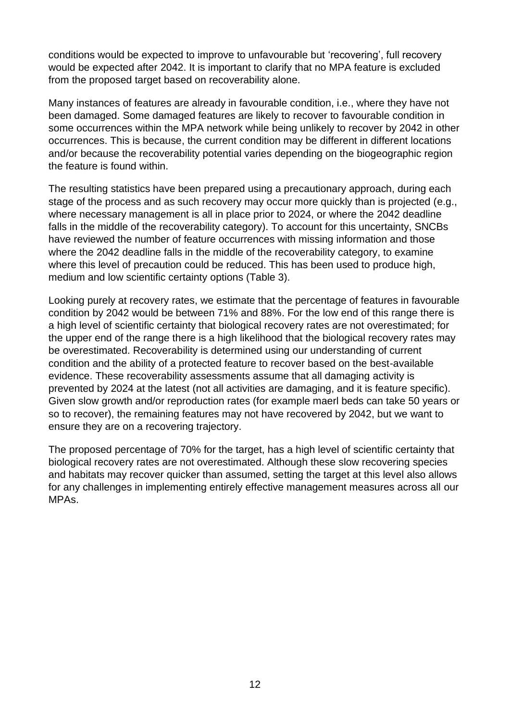conditions would be expected to improve to unfavourable but 'recovering', full recovery would be expected after 2042. It is important to clarify that no MPA feature is excluded from the proposed target based on recoverability alone.

Many instances of features are already in favourable condition, i.e., where they have not been damaged. Some damaged features are likely to recover to favourable condition in some occurrences within the MPA network while being unlikely to recover by 2042 in other occurrences. This is because, the current condition may be different in different locations and/or because the recoverability potential varies depending on the biogeographic region the feature is found within.

The resulting statistics have been prepared using a precautionary approach, during each stage of the process and as such recovery may occur more quickly than is projected (e.g., where necessary management is all in place prior to 2024, or where the 2042 deadline falls in the middle of the recoverability category). To account for this uncertainty, SNCBs have reviewed the number of feature occurrences with missing information and those where the 2042 deadline falls in the middle of the recoverability category, to examine where this level of precaution could be reduced. This has been used to produce high, medium and low scientific certainty options (Table 3).

Looking purely at recovery rates, we estimate that the percentage of features in favourable condition by 2042 would be between 71% and 88%. For the low end of this range there is a high level of scientific certainty that biological recovery rates are not overestimated; for the upper end of the range there is a high likelihood that the biological recovery rates may be overestimated. Recoverability is determined using our understanding of current condition and the ability of a protected feature to recover based on the best-available evidence. These recoverability assessments assume that all damaging activity is prevented by 2024 at the latest (not all activities are damaging, and it is feature specific). Given slow growth and/or reproduction rates (for example maerl beds can take 50 years or so to recover), the remaining features may not have recovered by 2042, but we want to ensure they are on a recovering trajectory.

The proposed percentage of 70% for the target, has a high level of scientific certainty that biological recovery rates are not overestimated. Although these slow recovering species and habitats may recover quicker than assumed, setting the target at this level also allows for any challenges in implementing entirely effective management measures across all our MPAs.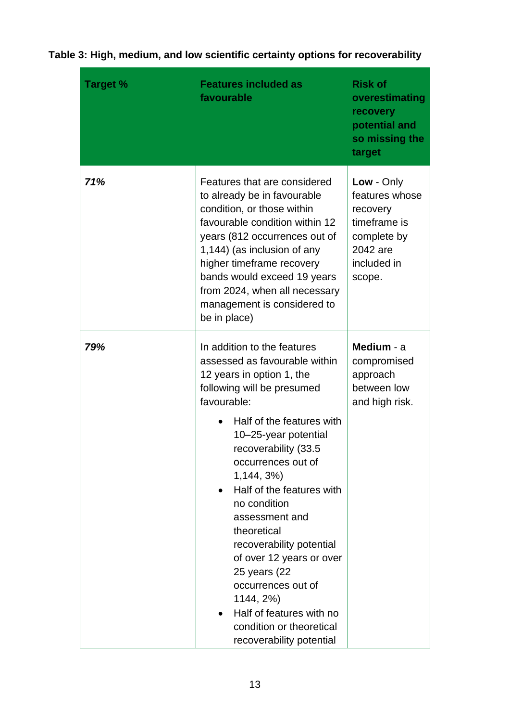| <b>Target %</b> | <b>Features included as</b><br>favourable                                                                                                                                                                                                                                                                                                                                                                                                                                                                                                                      | <b>Risk of</b><br>overestimating<br>recovery<br>potential and<br>so missing the<br>target                    |
|-----------------|----------------------------------------------------------------------------------------------------------------------------------------------------------------------------------------------------------------------------------------------------------------------------------------------------------------------------------------------------------------------------------------------------------------------------------------------------------------------------------------------------------------------------------------------------------------|--------------------------------------------------------------------------------------------------------------|
| 71%             | Features that are considered<br>to already be in favourable<br>condition, or those within<br>favourable condition within 12<br>years (812 occurrences out of<br>1,144) (as inclusion of any<br>higher timeframe recovery<br>bands would exceed 19 years<br>from 2024, when all necessary<br>management is considered to<br>be in place)                                                                                                                                                                                                                        | Low - Only<br>features whose<br>recovery<br>timeframe is<br>complete by<br>2042 are<br>included in<br>scope. |
| 79%             | In addition to the features<br>assessed as favourable within<br>12 years in option 1, the<br>following will be presumed<br>favourable:<br>Half of the features with<br>10-25-year potential<br>recoverability (33.5<br>occurrences out of<br>1,144, 3%)<br>Half of the features with<br>$\bullet$<br>no condition<br>assessment and<br>theoretical<br>recoverability potential<br>of over 12 years or over<br>25 years (22<br>occurrences out of<br>1144, 2%)<br>Half of features with no<br>$\bullet$<br>condition or theoretical<br>recoverability potential | Medium - a<br>compromised<br>approach<br>between low<br>and high risk.                                       |

#### **Table 3: High, medium, and low scientific certainty options for recoverability**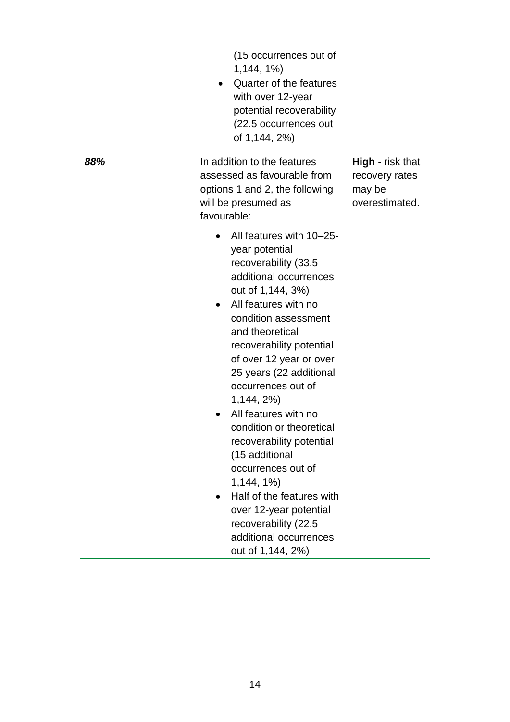|     | (15 occurrences out of<br>$1,144,1\%$<br>Quarter of the features<br>with over 12-year<br>potential recoverability<br>(22.5 occurrences out<br>of 1,144, 2%)                                                                                                                                                                                                                                                                                                                                                                                                                        |                                                                       |
|-----|------------------------------------------------------------------------------------------------------------------------------------------------------------------------------------------------------------------------------------------------------------------------------------------------------------------------------------------------------------------------------------------------------------------------------------------------------------------------------------------------------------------------------------------------------------------------------------|-----------------------------------------------------------------------|
| 88% | In addition to the features<br>assessed as favourable from<br>options 1 and 2, the following<br>will be presumed as<br>favourable:<br>All features with 10-25-<br>year potential<br>recoverability (33.5<br>additional occurrences<br>out of 1,144, 3%)<br>All features with no<br>condition assessment<br>and theoretical<br>recoverability potential<br>of over 12 year or over<br>25 years (22 additional<br>occurrences out of<br>1,144,2%<br>All features with no<br>condition or theoretical<br>recoverability potential<br>(15 additional<br>occurrences out of<br>1,144,1% | <b>High</b> - risk that<br>recovery rates<br>may be<br>overestimated. |
|     | Half of the features with<br>over 12-year potential<br>recoverability (22.5<br>additional occurrences<br>out of 1,144, 2%)                                                                                                                                                                                                                                                                                                                                                                                                                                                         |                                                                       |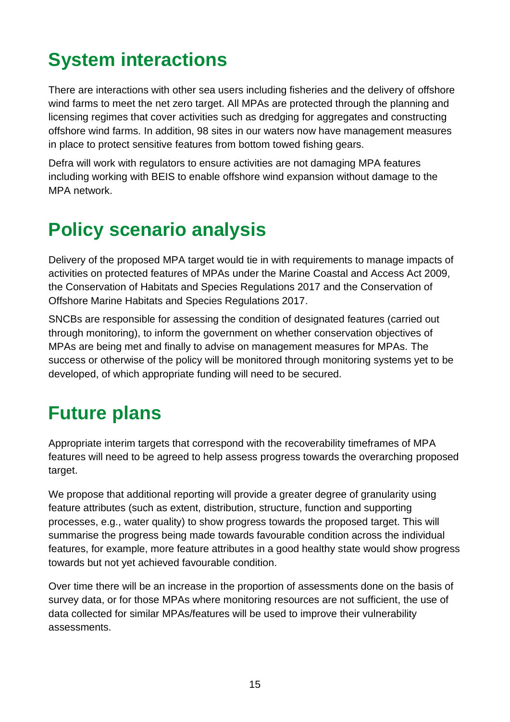# <span id="page-15-0"></span>**System interactions**

There are interactions with other sea users including fisheries and the delivery of offshore wind farms to meet the net zero target. All MPAs are protected through the planning and licensing regimes that cover activities such as dredging for aggregates and constructing offshore wind farms. In addition, 98 sites in our waters now have management measures in place to protect sensitive features from bottom towed fishing gears.

Defra will work with regulators to ensure activities are not damaging MPA features including working with BEIS to enable offshore wind expansion without damage to the MPA network.

# <span id="page-15-1"></span>**Policy scenario analysis**

Delivery of the proposed MPA target would tie in with requirements to manage impacts of activities on protected features of MPAs under the Marine Coastal and Access Act 2009, the Conservation of Habitats and Species Regulations 2017 and the Conservation of Offshore Marine Habitats and Species Regulations 2017.

SNCBs are responsible for assessing the condition of designated features (carried out through monitoring), to inform the government on whether conservation objectives of MPAs are being met and finally to advise on management measures for MPAs. The success or otherwise of the policy will be monitored through monitoring systems yet to be developed, of which appropriate funding will need to be secured.

## <span id="page-15-2"></span>**Future plans**

Appropriate interim targets that correspond with the recoverability timeframes of MPA features will need to be agreed to help assess progress towards the overarching proposed target.

We propose that additional reporting will provide a greater degree of granularity using feature attributes (such as extent, distribution, structure, function and supporting processes, e.g., water quality) to show progress towards the proposed target. This will summarise the progress being made towards favourable condition across the individual features, for example, more feature attributes in a good healthy state would show progress towards but not yet achieved favourable condition.

Over time there will be an increase in the proportion of assessments done on the basis of survey data, or for those MPAs where monitoring resources are not sufficient, the use of data collected for similar MPAs/features will be used to improve their vulnerability assessments.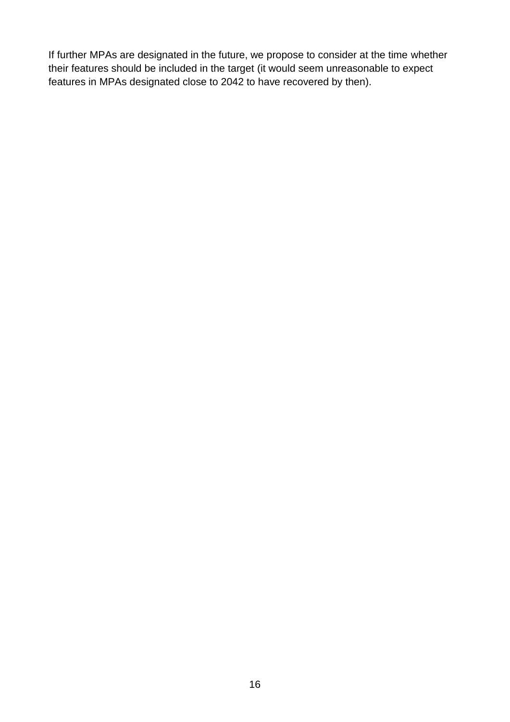If further MPAs are designated in the future, we propose to consider at the time whether their features should be included in the target (it would seem unreasonable to expect features in MPAs designated close to 2042 to have recovered by then).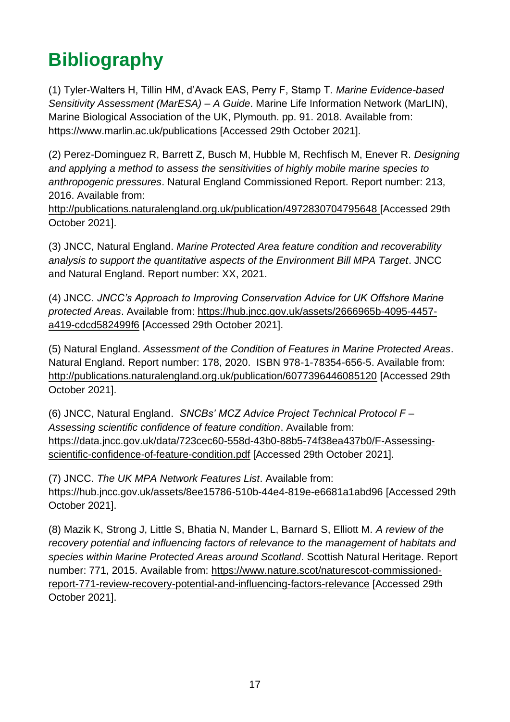# <span id="page-17-0"></span>**Bibliography**

(1) Tyler-Walters H, Tillin HM, d'Avack EAS, Perry F, Stamp T. *Marine Evidence-based Sensitivity Assessment (MarESA) – A Guide*. Marine Life Information Network (MarLIN), Marine Biological Association of the UK, Plymouth. pp. 91. 2018. Available from: <https://www.marlin.ac.uk/publications> [Accessed 29th October 2021].

(2) Perez-Dominguez R, Barrett Z, Busch M, Hubble M, Rechfisch M, Enever R. *Designing and applying a method to assess the sensitivities of highly mobile marine species to anthropogenic pressures*. Natural England Commissioned Report. Report number: 213, 2016. Available from:

<http://publications.naturalengland.org.uk/publication/4972830704795648> [Accessed 29th October 2021].

(3) JNCC, Natural England. *Marine Protected Area feature condition and recoverability analysis to support the quantitative aspects of the Environment Bill MPA Target*. JNCC and Natural England. Report number: XX, 2021.

(4) JNCC. *JNCC's Approach to Improving Conservation Advice for UK Offshore Marine protected Areas*. Available from: [https://hub.jncc.gov.uk/assets/2666965b-4095-4457](https://hub.jncc.gov.uk/assets/2666965b-4095-4457-a419-cdcd582499f6) [a419-cdcd582499f6](https://hub.jncc.gov.uk/assets/2666965b-4095-4457-a419-cdcd582499f6) [Accessed 29th October 2021].

(5) Natural England. *Assessment of the Condition of Features in Marine Protected Areas*. Natural England. Report number: 178, 2020. ISBN 978-1-78354-656-5. Available from: <http://publications.naturalengland.org.uk/publication/6077396446085120> [Accessed 29th October 2021].

(6) JNCC, Natural England. *SNCBs' MCZ Advice Project Technical Protocol F – Assessing scientific confidence of feature condition*. Available from: [https://data.jncc.gov.uk/data/723cec60-558d-43b0-88b5-74f38ea437b0/F-Assessing](https://data.jncc.gov.uk/data/723cec60-558d-43b0-88b5-74f38ea437b0/F-Assessing-scientific-confidence-of-feature-condition.pdf)[scientific-confidence-of-feature-condition.pdf](https://data.jncc.gov.uk/data/723cec60-558d-43b0-88b5-74f38ea437b0/F-Assessing-scientific-confidence-of-feature-condition.pdf) [Accessed 29th October 2021].

(7) JNCC. *The UK MPA Network Features List*. Available from: <https://hub.jncc.gov.uk/assets/8ee15786-510b-44e4-819e-e6681a1abd96> [Accessed 29th October 2021].

(8) Mazik K, Strong J, Little S, Bhatia N, Mander L, Barnard S, Elliott M. *A review of the recovery potential and influencing factors of relevance to the management of habitats and species within Marine Protected Areas around Scotland*. Scottish Natural Heritage. Report number: 771, 2015. Available from: [https://www.nature.scot/naturescot-commissioned](https://www.nature.scot/naturescot-commissioned-report-771-review-recovery-potential-and-influencing-factors-relevance)[report-771-review-recovery-potential-and-influencing-factors-relevance](https://www.nature.scot/naturescot-commissioned-report-771-review-recovery-potential-and-influencing-factors-relevance) [Accessed 29th October 2021].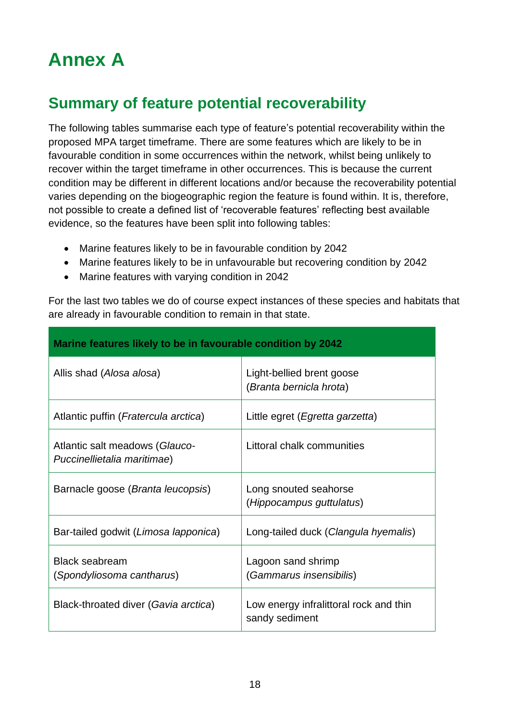# <span id="page-18-0"></span>**Annex A**

## **Summary of feature potential recoverability**

The following tables summarise each type of feature's potential recoverability within the proposed MPA target timeframe. There are some features which are likely to be in favourable condition in some occurrences within the network, whilst being unlikely to recover within the target timeframe in other occurrences. This is because the current condition may be different in different locations and/or because the recoverability potential varies depending on the biogeographic region the feature is found within. It is, therefore, not possible to create a defined list of 'recoverable features' reflecting best available evidence, so the features have been split into following tables:

- Marine features likely to be in favourable condition by 2042
- Marine features likely to be in unfavourable but recovering condition by 2042
- Marine features with varying condition in 2042

For the last two tables we do of course expect instances of these species and habitats that are already in favourable condition to remain in that state.

| Marine features likely to be in favourable condition by 2042  |                                                          |  |
|---------------------------------------------------------------|----------------------------------------------------------|--|
| Allis shad (Alosa alosa)                                      | Light-bellied brent goose<br>(Branta bernicla hrota)     |  |
| Atlantic puffin ( <i>Fratercula arctica</i> )                 | Little egret ( <i>Egretta garzetta</i> )                 |  |
| Atlantic salt meadows (Glauco-<br>Puccinellietalia maritimae) | Littoral chalk communities                               |  |
| Barnacle goose (Branta leucopsis)                             | Long snouted seahorse<br>(Hippocampus guttulatus)        |  |
| Bar-tailed godwit (Limosa lapponica)                          | Long-tailed duck (Clangula hyemalis)                     |  |
| <b>Black seabream</b><br>(Spondyliosoma cantharus)            | Lagoon sand shrimp<br>(Gammarus insensibilis)            |  |
| Black-throated diver (Gavia arctica)                          | Low energy infralittoral rock and thin<br>sandy sediment |  |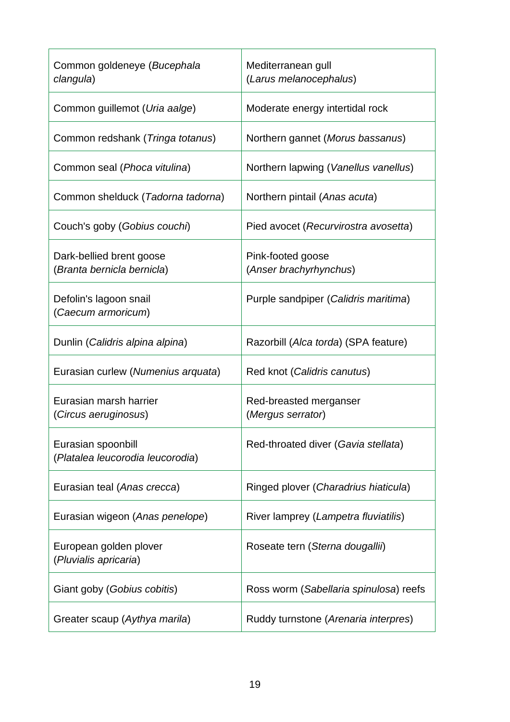| Common goldeneye (Bucephala<br>clangula)               | Mediterranean gull<br>(Larus melanocephalus) |
|--------------------------------------------------------|----------------------------------------------|
| Common guillemot (Uria aalge)                          | Moderate energy intertidal rock              |
| Common redshank (Tringa totanus)                       | Northern gannet (Morus bassanus)             |
| Common seal (Phoca vitulina)                           | Northern lapwing (Vanellus vanellus)         |
| Common shelduck (Tadorna tadorna)                      | Northern pintail (Anas acuta)                |
| Couch's goby (Gobius couchi)                           | Pied avocet (Recurvirostra avosetta)         |
| Dark-bellied brent goose<br>(Branta bernicla bernicla) | Pink-footed goose<br>(Anser brachyrhynchus)  |
| Defolin's lagoon snail<br>(Caecum armoricum)           | Purple sandpiper (Calidris maritima)         |
| Dunlin (Calidris alpina alpina)                        | Razorbill (Alca torda) (SPA feature)         |
| Eurasian curlew (Numenius arquata)                     | Red knot (Calidris canutus)                  |
| Eurasian marsh harrier<br>(Circus aeruginosus)         | Red-breasted merganser<br>(Mergus serrator)  |
| Eurasian spoonbill<br>(Platalea leucorodia leucorodia) | Red-throated diver (Gavia stellata)          |
| Eurasian teal (Anas crecca)                            | Ringed plover (Charadrius hiaticula)         |
| Eurasian wigeon (Anas penelope)                        | River lamprey (Lampetra fluviatilis)         |
| European golden plover<br>(Pluvialis apricaria)        | Roseate tern (Sterna dougallii)              |
| Giant goby (Gobius cobitis)                            | Ross worm (Sabellaria spinulosa) reefs       |
| Greater scaup (Aythya marila)                          | Ruddy turnstone (Arenaria interpres)         |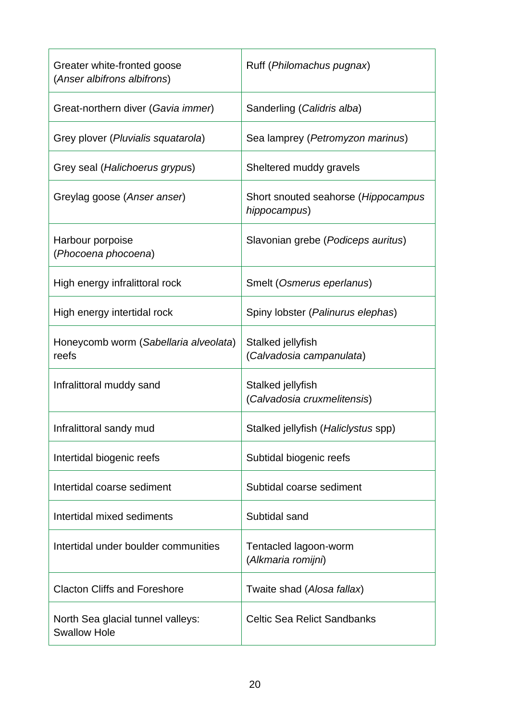| Greater white-fronted goose<br>(Anser albifrons albifrons) | Ruff (Philomachus pugnax)                           |
|------------------------------------------------------------|-----------------------------------------------------|
| Great-northern diver (Gavia immer)                         | Sanderling (Calidris alba)                          |
| Grey plover (Pluvialis squatarola)                         | Sea lamprey (Petromyzon marinus)                    |
| Grey seal (Halichoerus grypus)                             | Sheltered muddy gravels                             |
| Greylag goose (Anser anser)                                | Short snouted seahorse (Hippocampus<br>hippocampus) |
| Harbour porpoise<br>(Phocoena phocoena)                    | Slavonian grebe (Podiceps auritus)                  |
| High energy infralittoral rock                             | Smelt (Osmerus eperlanus)                           |
| High energy intertidal rock                                | Spiny lobster (Palinurus elephas)                   |
| Honeycomb worm (Sabellaria alveolata)<br>reefs             | Stalked jellyfish<br>(Calvadosia campanulata)       |
| Infralittoral muddy sand                                   | Stalked jellyfish<br>(Calvadosia cruxmelitensis)    |
| Infralittoral sandy mud                                    | Stalked jellyfish (Haliclystus spp)                 |
| Intertidal biogenic reefs                                  | Subtidal biogenic reefs                             |
| Intertidal coarse sediment                                 | Subtidal coarse sediment                            |
| Intertidal mixed sediments                                 | Subtidal sand                                       |
| Intertidal under boulder communities                       | Tentacled lagoon-worm<br>(Alkmaria romijni)         |
| <b>Clacton Cliffs and Foreshore</b>                        | Twaite shad (Alosa fallax)                          |
| North Sea glacial tunnel valleys:<br><b>Swallow Hole</b>   | <b>Celtic Sea Relict Sandbanks</b>                  |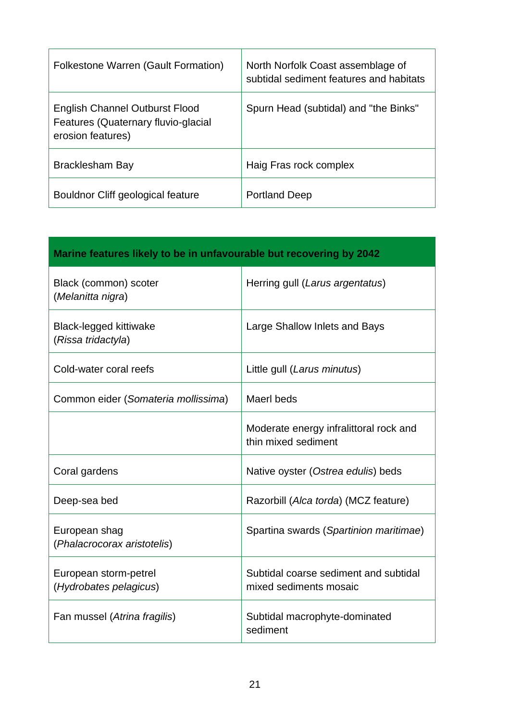| Folkestone Warren (Gault Formation)                                                               | North Norfolk Coast assemblage of<br>subtidal sediment features and habitats |
|---------------------------------------------------------------------------------------------------|------------------------------------------------------------------------------|
| <b>English Channel Outburst Flood</b><br>Features (Quaternary fluvio-glacial<br>erosion features) | Spurn Head (subtidal) and "the Binks"                                        |
| Bracklesham Bay                                                                                   | Haig Fras rock complex                                                       |
| Bouldnor Cliff geological feature                                                                 | <b>Portland Deep</b>                                                         |

| Marine features likely to be in unfavourable but recovering by 2042 |                                                                 |
|---------------------------------------------------------------------|-----------------------------------------------------------------|
| Black (common) scoter<br>(Melanitta nigra)                          | Herring gull (Larus argentatus)                                 |
| <b>Black-legged kittiwake</b><br>(Rissa tridactyla)                 | Large Shallow Inlets and Bays                                   |
| Cold-water coral reefs                                              | Little gull (Larus minutus)                                     |
| Common eider (Somateria mollissima)                                 | Maerl beds                                                      |
|                                                                     | Moderate energy infralittoral rock and<br>thin mixed sediment   |
| Coral gardens                                                       | Native oyster (Ostrea edulis) beds                              |
| Deep-sea bed                                                        | Razorbill (Alca torda) (MCZ feature)                            |
| European shag<br>(Phalacrocorax aristotelis)                        | Spartina swards (Spartinion maritimae)                          |
| European storm-petrel<br>(Hydrobates pelagicus)                     | Subtidal coarse sediment and subtidal<br>mixed sediments mosaic |
| Fan mussel (Atrina fragilis)                                        | Subtidal macrophyte-dominated<br>sediment                       |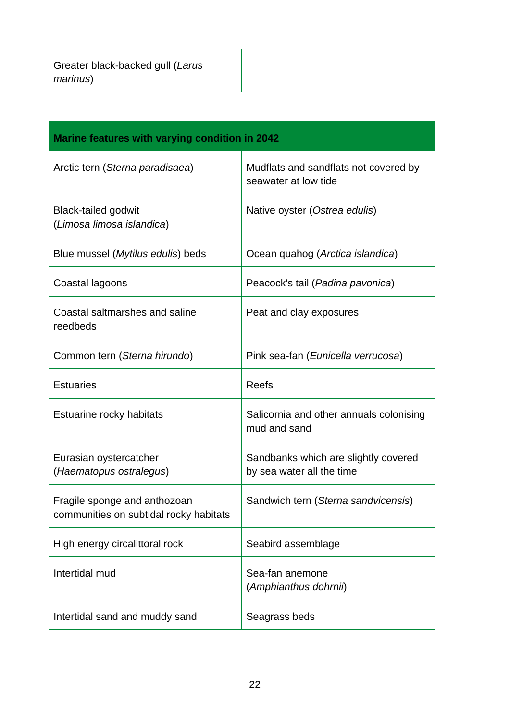| Marine features with varying condition in 2042                         |                                                                   |
|------------------------------------------------------------------------|-------------------------------------------------------------------|
| Arctic tern (Sterna paradisaea)                                        | Mudflats and sandflats not covered by<br>seawater at low tide     |
| <b>Black-tailed godwit</b><br>(Limosa limosa islandica)                | Native oyster (Ostrea edulis)                                     |
| Blue mussel (Mytilus edulis) beds                                      | Ocean quahog (Arctica islandica)                                  |
| Coastal lagoons                                                        | Peacock's tail (Padina pavonica)                                  |
| Coastal saltmarshes and saline<br>reedbeds                             | Peat and clay exposures                                           |
| Common tern (Sterna hirundo)                                           | Pink sea-fan (Eunicella verrucosa)                                |
| <b>Estuaries</b>                                                       | Reefs                                                             |
| Estuarine rocky habitats                                               | Salicornia and other annuals colonising<br>mud and sand           |
| Eurasian oystercatcher<br>(Haematopus ostralegus)                      | Sandbanks which are slightly covered<br>by sea water all the time |
| Fragile sponge and anthozoan<br>communities on subtidal rocky habitats | Sandwich tern (Sterna sandvicensis)                               |
| High energy circalittoral rock                                         | Seabird assemblage                                                |
| Intertidal mud                                                         | Sea-fan anemone<br>(Amphianthus dohrnii)                          |
| Intertidal sand and muddy sand                                         | Seagrass beds                                                     |